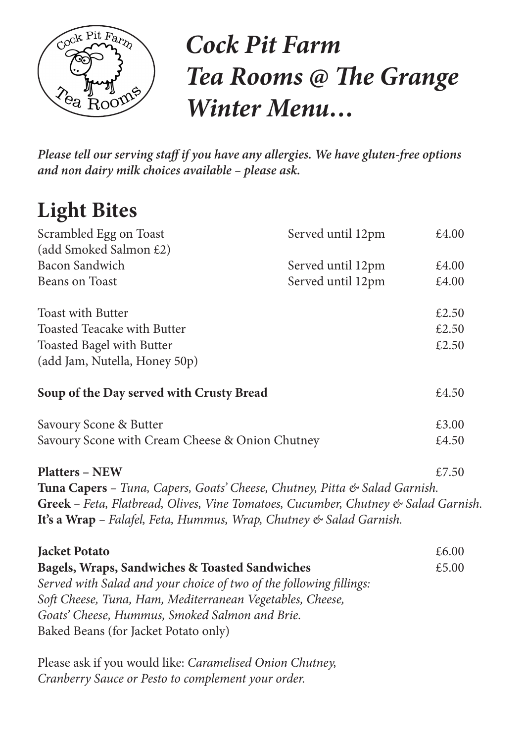

# *Cock Pit Farm Tea Rooms @ The Grange Winter Menu…*

*Please tell our serving staff if you have any allergies. We have gluten-free options and non dairy milk choices available – please ask.* 

## **Light Bites**

| Scrambled Egg on Toast                                                                                                                                                                                                               | Served until 12pm | £4.00 |
|--------------------------------------------------------------------------------------------------------------------------------------------------------------------------------------------------------------------------------------|-------------------|-------|
| (add Smoked Salmon £2)                                                                                                                                                                                                               |                   |       |
| <b>Bacon Sandwich</b>                                                                                                                                                                                                                | Served until 12pm | £4.00 |
| <b>Beans on Toast</b>                                                                                                                                                                                                                | Served until 12pm | £4.00 |
| <b>Toast with Butter</b>                                                                                                                                                                                                             |                   | £2.50 |
| Toasted Teacake with Butter                                                                                                                                                                                                          |                   | £2.50 |
| <b>Toasted Bagel with Butter</b>                                                                                                                                                                                                     |                   | £2.50 |
| (add Jam, Nutella, Honey 50p)                                                                                                                                                                                                        |                   |       |
| Soup of the Day served with Crusty Bread                                                                                                                                                                                             |                   | £4.50 |
| Savoury Scone & Butter                                                                                                                                                                                                               |                   | £3.00 |
| Savoury Scone with Cream Cheese & Onion Chutney                                                                                                                                                                                      |                   | £4.50 |
| <b>Platters - NEW</b>                                                                                                                                                                                                                |                   | £7.50 |
| Tuna Capers – Tuna, Capers, Goats' Cheese, Chutney, Pitta & Salad Garnish.                                                                                                                                                           |                   |       |
| Greek - Feta, Flatbread, Olives, Vine Tomatoes, Cucumber, Chutney & Salad Garnish.                                                                                                                                                   |                   |       |
| It's a Wrap - Falafel, Feta, Hummus, Wrap, Chutney & Salad Garnish.                                                                                                                                                                  |                   |       |
| <b>Jacket Potato</b>                                                                                                                                                                                                                 |                   | £6.00 |
| Bagels, Wraps, Sandwiches & Toasted Sandwiches<br>Served with Salad and your choice of two of the following fillings:<br>Soft Cheese, Tuna, Ham, Mediterranean Vegetables, Cheese,<br>Goats' Cheese, Hummus, Smoked Salmon and Brie. |                   | £5.00 |
| Baked Beans (for Jacket Potato only)                                                                                                                                                                                                 |                   |       |

Please ask if you would like: *Caramelised Onion Chutney, Cranberry Sauce or Pesto to complement your order.*